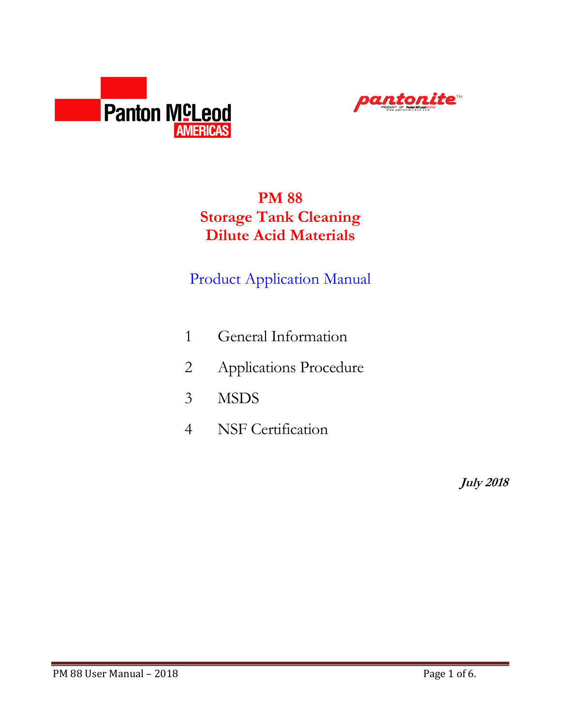



# **PM 88 Storage Tank Cleaning Dilute Acid Materials**

# Product Application Manual

- 1 General Information
- 2 Applications Procedure
- 3 MSDS
- 4 NSF Certification

**July 2018**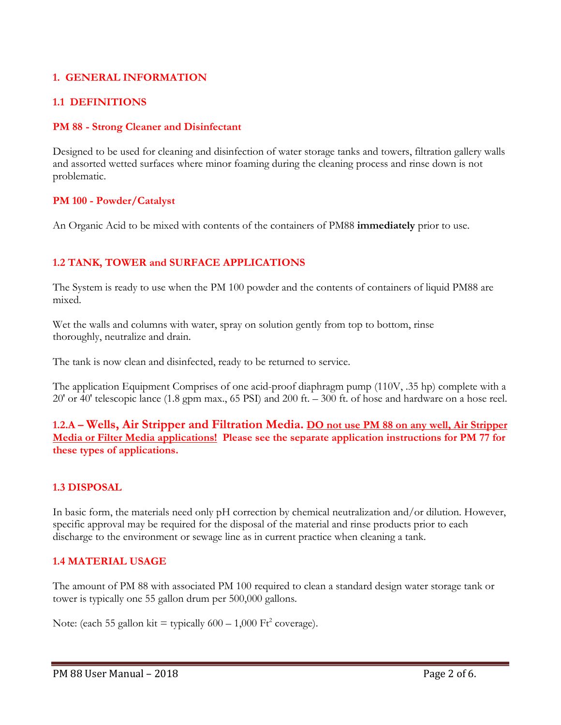## **1. GENERAL INFORMATION**

#### **1.1 DEFINITIONS**

#### **PM 88 - Strong Cleaner and Disinfectant**

Designed to be used for cleaning and disinfection of water storage tanks and towers, filtration gallery walls and assorted wetted surfaces where minor foaming during the cleaning process and rinse down is not problematic.

#### **PM 100 - Powder/Catalyst**

An Organic Acid to be mixed with contents of the containers of PM88 **immediately** prior to use.

## **1.2 TANK, TOWER and SURFACE APPLICATIONS**

The System is ready to use when the PM 100 powder and the contents of containers of liquid PM88 are mixed.

Wet the walls and columns with water, spray on solution gently from top to bottom, rinse thoroughly, neutralize and drain.

The tank is now clean and disinfected, ready to be returned to service.

The application Equipment Comprises of one acid-proof diaphragm pump (110V, .35 hp) complete with a 20' or 40' telescopic lance (1.8 gpm max., 65 PSI) and 200 ft. – 300 ft. of hose and hardware on a hose reel.

**1.2.A – Wells, Air Stripper and Filtration Media. DO not use PM 88 on any well, Air Stripper Media or Filter Media applications! Please see the separate application instructions for PM 77 for these types of applications.** 

## **1.3 DISPOSAL**

In basic form, the materials need only pH correction by chemical neutralization and/or dilution. However, specific approval may be required for the disposal of the material and rinse products prior to each discharge to the environment or sewage line as in current practice when cleaning a tank.

#### **1.4 MATERIAL USAGE**

The amount of PM 88 with associated PM 100 required to clean a standard design water storage tank or tower is typically one 55 gallon drum per 500,000 gallons.

Note: (each 55 gallon kit = typically  $600 - 1,000$  Ft<sup>2</sup> coverage).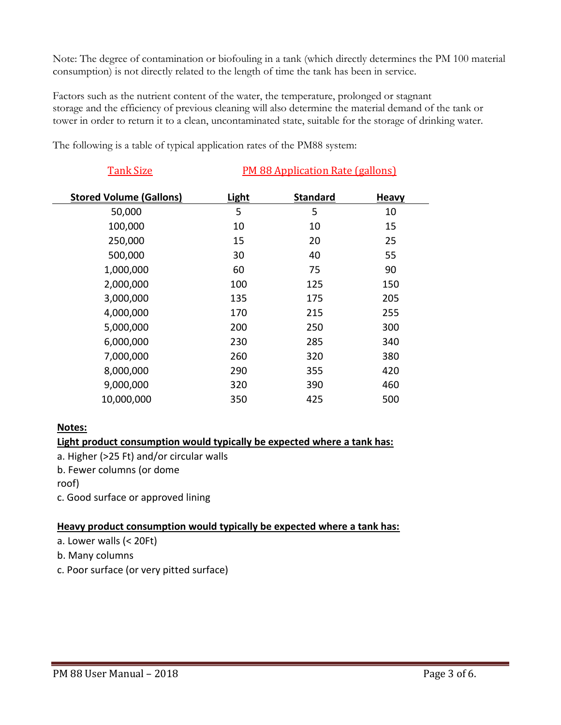Note: The degree of contamination or biofouling in a tank (which directly determines the PM 100 material consumption) is not directly related to the length of time the tank has been in service.

Factors such as the nutrient content of the water, the temperature, prolonged or stagnant storage and the efficiency of previous cleaning will also determine the material demand of the tank or tower in order to return it to a clean, uncontaminated state, suitable for the storage of drinking water.

Tank Size **PM 88 Application Rate (gallons) Stored Volume (Gallons) Light Standard Heavy** 50,000 5 5 10 100,000 10 10 10 15 250,000 15 20 25 500,000 30 40 55 1,000,000 60 75 90 2,000,000 100 125 150 3,000,000 135 175 205 4,000,000 170 215 255 5,000,000 200 250 300 6,000,000 230 285 340 7,000,000 260 320 380 8,000,000 290 355 420 9,000,000 320 390 460 10,000,000 350 425 500

The following is a table of typical application rates of the PM88 system:

## **Notes:**

## **Light product consumption would typically be expected where a tank has:**

a. Higher (>25 Ft) and/or circular walls

b. Fewer columns (or dome

roof)

c. Good surface or approved lining

#### **Heavy product consumption would typically be expected where a tank has:**

- a. Lower walls (< 20Ft)
- b. Many columns
- c. Poor surface (or very pitted surface)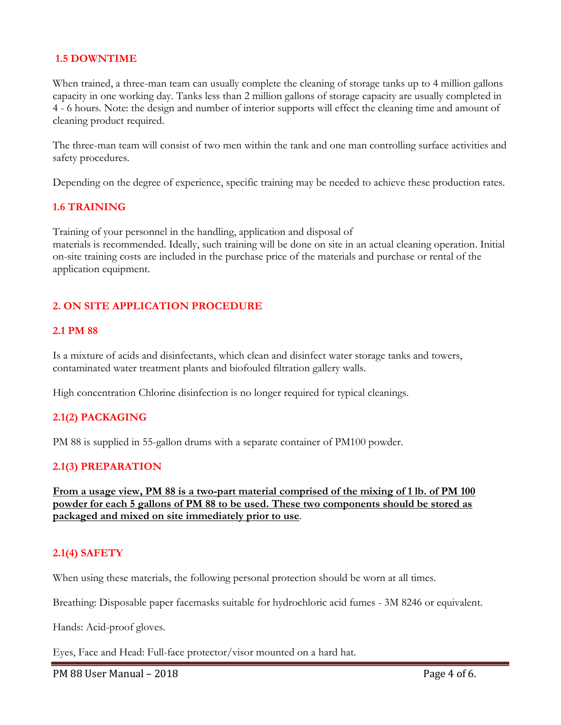#### **1.5 DOWNTIME**

When trained, a three-man team can usually complete the cleaning of storage tanks up to 4 million gallons capacity in one working day. Tanks less than 2 million gallons of storage capacity are usually completed in 4 - 6 hours. Note: the design and number of interior supports will effect the cleaning time and amount of cleaning product required.

The three-man team will consist of two men within the tank and one man controlling surface activities and safety procedures.

Depending on the degree of experience, specific training may be needed to achieve these production rates.

#### **1.6 TRAINING**

Training of your personnel in the handling, application and disposal of materials is recommended. Ideally, such training will be done on site in an actual cleaning operation. Initial on-site training costs are included in the purchase price of the materials and purchase or rental of the application equipment.

#### **2. ON SITE APPLICATION PROCEDURE**

#### **2.1 PM 88**

Is a mixture of acids and disinfectants, which clean and disinfect water storage tanks and towers, contaminated water treatment plants and biofouled filtration gallery walls.

High concentration Chlorine disinfection is no longer required for typical cleanings.

#### **2.1(2) PACKAGING**

PM 88 is supplied in 55-gallon drums with a separate container of PM100 powder.

#### **2.1(3) PREPARATION**

**From a usage view, PM 88 is a two-part material comprised of the mixing of 1 lb. of PM 100 powder for each 5 gallons of PM 88 to be used. These two components should be stored as packaged and mixed on site immediately prior to use**.

#### **2.1(4) SAFETY**

When using these materials, the following personal protection should be worn at all times.

Breathing: Disposable paper facemasks suitable for hydrochloric acid fumes - 3M 8246 or equivalent.

Hands: Acid-proof gloves.

Eyes, Face and Head: Full-face protector/visor mounted on a hard hat.

PM 88 User Manual – 2018 **PM 88 User Manual – 2018**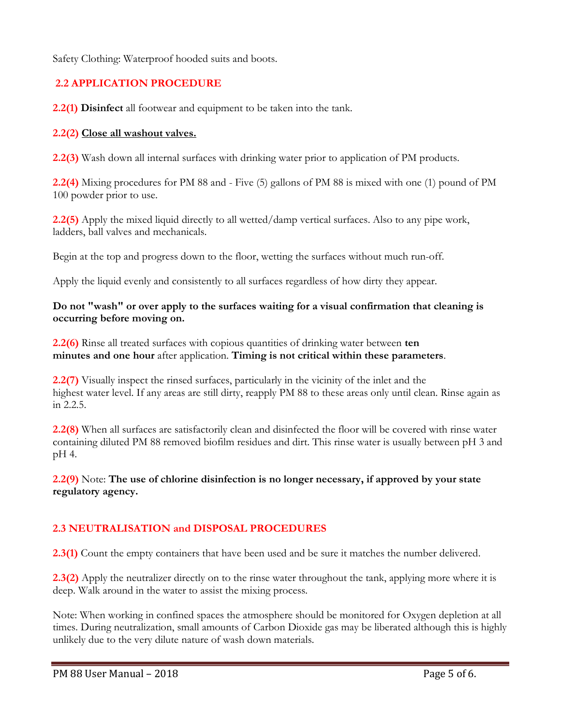Safety Clothing: Waterproof hooded suits and boots.

# **2.2 APPLICATION PROCEDURE**

**2.2(1) Disinfect** all footwear and equipment to be taken into the tank.

#### **2.2(2) Close all washout valves.**

**2.2(3)** Wash down all internal surfaces with drinking water prior to application of PM products.

**2.2(4)** Mixing procedures for PM 88 and - Five (5) gallons of PM 88 is mixed with one (1) pound of PM 100 powder prior to use.

**2.2(5)** Apply the mixed liquid directly to all wetted/damp vertical surfaces. Also to any pipe work, ladders, ball valves and mechanicals.

Begin at the top and progress down to the floor, wetting the surfaces without much run-off.

Apply the liquid evenly and consistently to all surfaces regardless of how dirty they appear.

#### **Do not "wash" or over apply to the surfaces waiting for a visual confirmation that cleaning is occurring before moving on.**

**2.2(6)** Rinse all treated surfaces with copious quantities of drinking water between **ten minutes and one hour** after application. **Timing is not critical within these parameters**.

**2.2(7)** Visually inspect the rinsed surfaces, particularly in the vicinity of the inlet and the highest water level. If any areas are still dirty, reapply PM 88 to these areas only until clean. Rinse again as in 2.2.5.

**2.2(8)** When all surfaces are satisfactorily clean and disinfected the floor will be covered with rinse water containing diluted PM 88 removed biofilm residues and dirt. This rinse water is usually between pH 3 and pH 4.

**2.2(9)** Note: **The use of chlorine disinfection is no longer necessary, if approved by your state regulatory agency.**

# **2.3 NEUTRALISATION and DISPOSAL PROCEDURES**

**2.3(1)** Count the empty containers that have been used and be sure it matches the number delivered.

**2.3(2)** Apply the neutralizer directly on to the rinse water throughout the tank, applying more where it is deep. Walk around in the water to assist the mixing process.

Note: When working in confined spaces the atmosphere should be monitored for Oxygen depletion at all times. During neutralization, small amounts of Carbon Dioxide gas may be liberated although this is highly unlikely due to the very dilute nature of wash down materials.